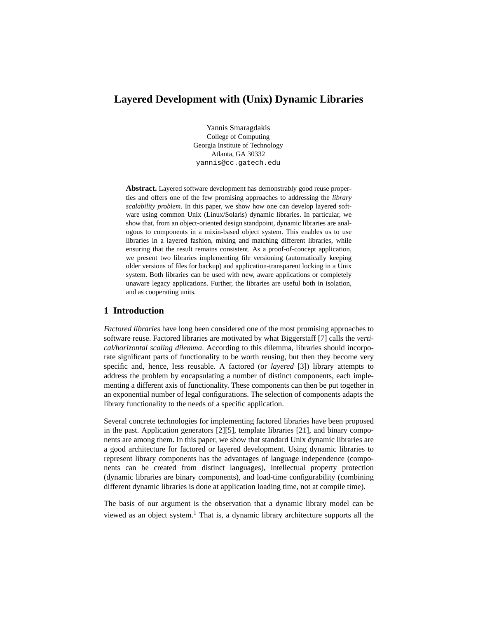# **Layered Development with (Unix) Dynamic Libraries**

Yannis Smaragdakis College of Computing Georgia Institute of Technology Atlanta, GA 30332 yannis@cc.gatech.edu

**Abstract.** Layered software development has demonstrably good reuse properties and offers one of the few promising approaches to addressing the *library scalability problem*. In this paper, we show how one can develop layered software using common Unix (Linux/Solaris) dynamic libraries. In particular, we show that, from an object-oriented design standpoint, dynamic libraries are analogous to components in a mixin-based object system. This enables us to use libraries in a layered fashion, mixing and matching different libraries, while ensuring that the result remains consistent. As a proof-of-concept application, we present two libraries implementing file versioning (automatically keeping older versions of files for backup) and application-transparent locking in a Unix system. Both libraries can be used with new, aware applications or completely unaware legacy applications. Further, the libraries are useful both in isolation, and as cooperating units.

## **1 Introduction**

*Factored libraries* have long been considered one of the most promising approaches to software reuse. Factored libraries are motivated by what Biggerstaff [\[7\]](#page-12-0) calls the *vertical/horizontal scaling dilemma*. According to this dilemma, libraries should incorporate significant parts of functionality to be worth reusing, but then they become very specific and, hence, less reusable. A factored (or *layered* [\[3](#page-11-0)]) library attempts to address the problem by encapsulating a number of distinct components, each implementing a different axis of functionality. These components can then be put together in an exponential number of legal configurations. The selection of components adapts the library functionality to the needs of a specific application.

Several concrete technologies for implementing factored libraries have been proposed in the past. Application generators  $[2][5]$ , template libraries  $[21]$ , and binary components are among them. In this paper, we show that standard Unix dynamic libraries are a good architecture for factored or layered development. Using dynamic libraries to represent library components has the advantages of language independence (components can be created from distinct languages), intellectual property protection (dynamic libraries are binary components), and load-time configurability (combining different dynamic libraries is done at application loading time, not at compile time).

The basis of our argument is the observation that a dynamic library model can be viewed as an object system.<sup>1</sup> That is, a dynamic library architecture supports all the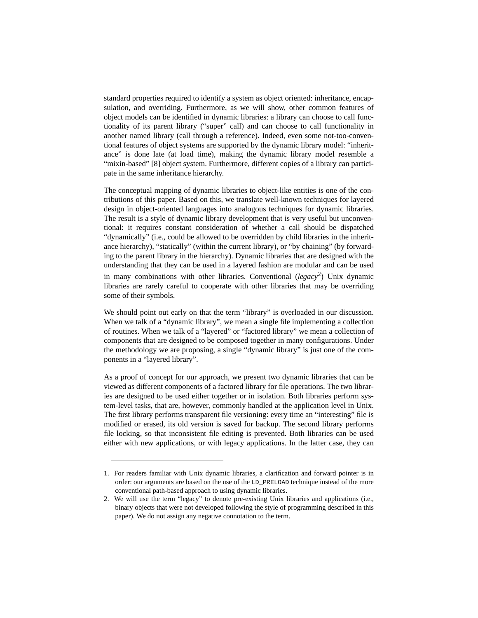standard properties required to identify a system as object oriented: inheritance, encapsulation, and overriding. Furthermore, as we will show, other common features of object models can be identified in dynamic libraries: a library can choose to call functionality of its parent library ("super" call) and can choose to call functionality in another named library (call through a reference). Indeed, even some not-too-conventional features of object systems are supported by the dynamic library model: "inheritance" is done late (at load time), making the dynamic library model resemble a "mixin-based" [\[8\]](#page-12-0) object system. Furthermore, different copies of a library can participate in the same inheritance hierarchy.

The conceptual mapping of dynamic libraries to object-like entities is one of the contributions of this paper. Based on this, we translate well-known techniques for layered design in object-oriented languages into analogous techniques for dynamic libraries. The result is a style of dynamic library development that is very useful but unconventional: it requires constant consideration of whether a call should be dispatched "dynamically" (i.e., could be allowed to be overridden by child libraries in the inheritance hierarchy), "statically" (within the current library), or "by chaining" (by forwarding to the parent library in the hierarchy). Dynamic libraries that are designed with the understanding that they can be used in a layered fashion are modular and can be used in many combinations with other libraries. Conventional (*legacy*2) Unix dynamic libraries are rarely careful to cooperate with other libraries that may be overriding some of their symbols.

We should point out early on that the term "library" is overloaded in our discussion. When we talk of a "dynamic library", we mean a single file implementing a collection of routines. When we talk of a "layered" or "factored library" we mean a collection of components that are designed to be composed together in many configurations. Under the methodology we are proposing, a single "dynamic library" is just one of the components in a "layered library".

As a proof of concept for our approach, we present two dynamic libraries that can be viewed as different components of a factored library for file operations. The two libraries are designed to be used either together or in isolation. Both libraries perform system-level tasks, that are, however, commonly handled at the application level in Unix. The first library performs transparent file versioning: every time an "interesting" file is modified or erased, its old version is saved for backup. The second library performs file locking, so that inconsistent file editing is prevented. Both libraries can be used either with new applications, or with legacy applications. In the latter case, they can

<sup>1.</sup> For readers familiar with Unix dynamic libraries, a clarification and forward pointer is in order: our arguments are based on the use of the LD\_PRELOAD technique instead of the more conventional path-based approach to using dynamic libraries.

<sup>2.</sup> We will use the term "legacy" to denote pre-existing Unix libraries and applications (i.e., binary objects that were not developed following the style of programming described in this paper). We do not assign any negative connotation to the term.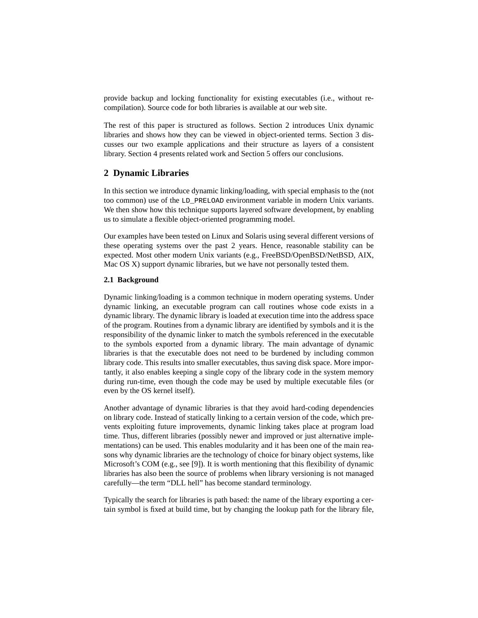<span id="page-2-0"></span>provide backup and locking functionality for existing executables (i.e., without recompilation). Source code for both libraries is available at our web site.

The rest of this paper is structured as follows. Section 2 introduces Unix dynamic libraries and shows how they can be viewed in object-oriented terms. [Section 3](#page-7-0) discusses our two example applications and their structure as layers of a consistent library. [Section 4 p](#page-10-0)resents related work and Se[ction 5 off](#page-11-0)ers our conclusions.

## **2 Dynamic Libraries**

In this section we introduce dynamic linking/loading, with special emphasis to the (not too common) use of the LD\_PRELOAD environment variable in modern Unix variants. We then show how this technique supports layered software development, by enabling us to simulate a flexible object-oriented programming model.

Our examples have been tested on Linux and Solaris using several different versions of these operating systems over the past 2 years. Hence, reasonable stability can be expected. Most other modern Unix variants (e.g., FreeBSD/OpenBSD/NetBSD, AIX, Mac OS X) support dynamic libraries, but we have not personally tested them.

#### **2.1 Background**

Dynamic linking/loading is a common technique in modern operating systems. Under dynamic linking, an executable program can call routines whose code exists in a dynamic library. The dynamic library is loaded at execution time into the address space of the program. Routines from a dynamic library are identified by symbols and it is the responsibility of the dynamic linker to match the symbols referenced in the executable to the symbols exported from a dynamic library. The main advantage of dynamic libraries is that the executable does not need to be burdened by including common library code. This results into smaller executables, thus saving disk space. More importantly, it also enables keeping a single copy of the library code in the system memory during run-time, even though the code may be used by multiple executable files (or even by the OS kernel itself).

Another advantage of dynamic libraries is that they avoid hard-coding dependencies on library code. Instead of statically linking to a certain version of the code, which prevents exploiting future improvements, dynamic linking takes place at program load time. Thus, different libraries (possibly newer and improved or just alternative implementations) can be used. This enables modularity and it has been one of the main reasons why dynamic libraries are the technology of choice for binary object systems, like Microsoft's COM (e.g., see [\[9\]](#page-12-0)). It is worth mentioning that this flexibility of dynamic libraries has also been the source of problems when library versioning is not managed carefully—the term "DLL hell" has become standard terminology.

Typically the search for libraries is path based: the name of the library exporting a certain symbol is fixed at build time, but by changing the lookup path for the library file,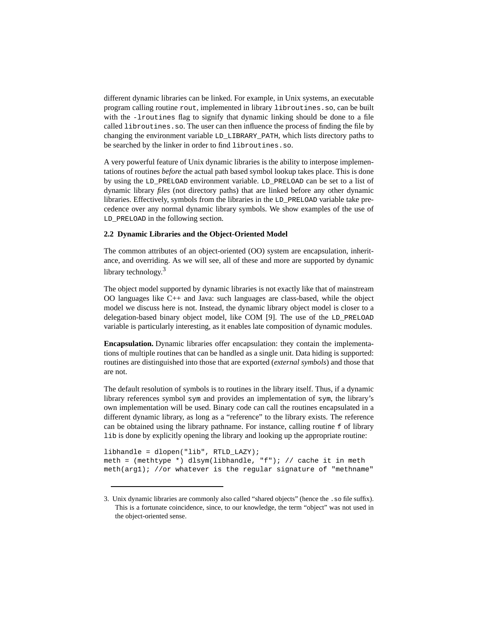different dynamic libraries can be linked. For example, in Unix systems, an executable program calling routine rout, implemented in library libroutines.so, can be built with the -lroutines flag to signify that dynamic linking should be done to a file called libroutines.so. The user can then influence the process of finding the file by changing the environment variable LD\_LIBRARY\_PATH, which lists directory paths to be searched by the linker in order to find libroutines.so.

A very powerful feature of Unix dynamic libraries is the ability to interpose implementations of routines *before* the actual path based symbol lookup takes place. This is done by using the LD\_PRELOAD environment variable. LD\_PRELOAD can be set to a list of dynamic library *files* (not directory paths) that are linked before any other dynamic libraries. Effectively, symbols from the libraries in the LD\_PRELOAD variable take precedence over any normal dynamic library symbols. We show examples of the use of LD PRELOAD in the following section.

#### **2.2 Dynamic Libraries and the Object-Oriented Model**

The common attributes of an object-oriented (OO) system are encapsulation, inheritance, and overriding. As we will see, all of these and more are supported by dynamic library technology.<sup>3</sup>

The object model supported by dynamic libraries is not exactly like that of mainstream OO languages like C++ and Java: such languages are class-based, while the object model we discuss here is not. Instead, the dynamic library object model is closer to a delegation-based binary object model, like COM [[9\].](#page-12-0) The use of the LD\_PRELOAD variable is particularly interesting, as it enables late composition of dynamic modules.

**Encapsulation.** Dynamic libraries offer encapsulation: they contain the implementations of multiple routines that can be handled as a single unit. Data hiding is supported: routines are distinguished into those that are exported (*external symbols*) and those that are not.

The default resolution of symbols is to routines in the library itself. Thus, if a dynamic library references symbol sym and provides an implementation of sym, the library's own implementation will be used. Binary code can call the routines encapsulated in a different dynamic library, as long as a "reference" to the library exists. The reference can be obtained using the library pathname. For instance, calling routine f of library lib is done by explicitly opening the library and looking up the appropriate routine:

```
libhandle = dlopen("lib", RTLD_LAZY);
meth = (methtype *) dlsym(libhandle, "f"); // cache it in meth
meth(arg1); //or whatever is the regular signature of "methname"
```
<sup>3.</sup> Unix dynamic libraries are commonly also called "shared objects" (hence the .so file suffix). This is a fortunate coincidence, since, to our knowledge, the term "object" was not used in the object-oriented sense.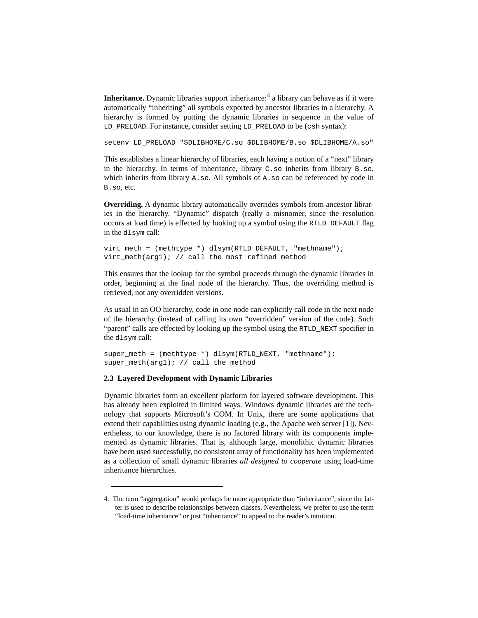**Inheritance.** Dynamic libraries support inheritance:<sup>4</sup> a library can behave as if it were automatically "inheriting" all symbols exported by ancestor libraries in a hierarchy. A hierarchy is formed by putting the dynamic libraries in sequence in the value of LD\_PRELOAD. For instance, consider setting LD\_PRELOAD to be (csh syntax):

setenv LD\_PRELOAD "\$DLIBHOME/C.so \$DLIBHOME/B.so \$DLIBHOME/A.so"

This establishes a linear hierarchy of libraries, each having a notion of a "next" library in the hierarchy. In terms of inheritance, library  $C.\text{so}$  inherits from library  $B.\text{so}$ , which inherits from library A.so. All symbols of A.so can be referenced by code in B.so, etc.

**Overriding.** A dynamic library automatically overrides symbols from ancestor libraries in the hierarchy. "Dynamic" dispatch (really a misnomer, since the resolution occurs at load time) is effected by looking up a symbol using the RTLD\_DEFAULT flag in the dlsym call:

virt\_meth = (methtype \*) dlsym(RTLD\_DEFAULT, "methname"); virt\_meth(arg1); // call the most refined method

This ensures that the lookup for the symbol proceeds through the dynamic libraries in order, beginning at the final node of the hierarchy. Thus, the overriding method is retrieved, not any overridden versions.

As usual in an OO hierarchy, code in one node can explicitly call code in the next node of the hierarchy (instead of calling its own "overridden" version of the code). Such "parent" calls are effected by looking up the symbol using the RTLD\_NEXT specifier in the dlsym call:

super\_meth = (methtype \*) dlsym(RTLD\_NEXT, "methname"); super meth(arg1);  $//$  call the method

### **2.3 Layered Development with Dynamic Libraries**

Dynamic libraries form an excellent platform for layered software development. This has already been exploited in limited ways. Windows dynamic libraries are the technology that supports Microsoft's COM. In Unix, there are some applications that extend their capabilities using dynamic loading (e.g., the Apache web server [\[1\]](#page-11-0)). Nevertheless, to our knowledge, there is no factored library with its components implemented as dynamic libraries. That is, although large, monolithic dynamic libraries have been used successfully, no consistent array of functionality has been implemented as a collection of small dynamic libraries *all designed to cooperate* using load-time inheritance hierarchies.

<sup>4.</sup> The term "aggregation" would perhaps be more appropriate than "inheritance", since the latter is used to describe relationships between classes. Nevertheless, we prefer to use the term "load-time inheritance" or just "inheritance" to appeal to the reader's intuition.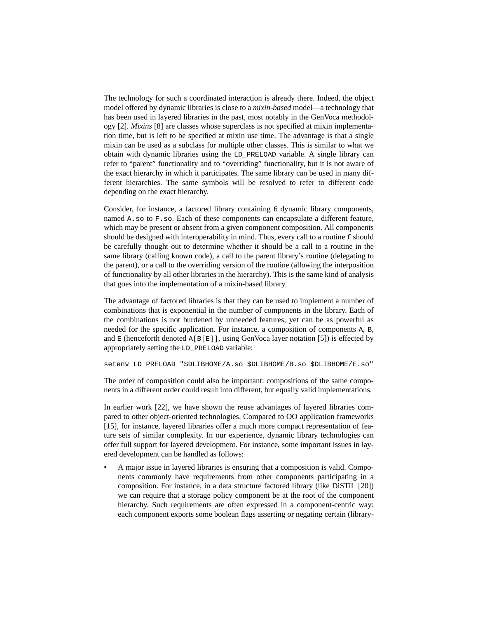The technology for such a coordinated interaction is already there. Indeed, the object model offered by dynamic libraries is close to a *mixin-based* model—a technology that has been used in layered libraries in the past, most notably in the GenVoca methodology [\[2\]](#page-11-0). *Mixins* [\[8\]](#page-12-0) are classes whose superclass is not specified at mixin implementation time, but is left to be specified at mixin use time. The advantage is that a single mixin can be used as a subclass for multiple other classes. This is similar to what we obtain with dynamic libraries using the LD\_PRELOAD variable. A single library can refer to "parent" functionality and to "overriding" functionality, but it is not aware of the exact hierarchy in which it participates. The same library can be used in many different hierarchies. The same symbols will be resolved to refer to different code depending on the exact hierarchy.

Consider, for instance, a factored library containing 6 dynamic library components, named A.so to F.so. Each of these components can encapsulate a different feature, which may be present or absent from a given component composition. All components should be designed with interoperability in mind. Thus, every call to a routine f should be carefully thought out to determine whether it should be a call to a routine in the same library (calling known code), a call to the parent library's routine (delegating to the parent), or a call to the overriding version of the routine (allowing the interposition of functionality by all other libraries in the hierarchy). This is the same kind of analysis that goes into the implementation of a mixin-based library.

The advantage of factored libraries is that they can be used to implement a number of combinations that is exponential in the number of components in the library. Each of the combinations is not burdened by unneeded features, yet can be as powerful as needed for the specific application. For instance, a composition of components A, B, and  $E$  (henceforth denoted  $A[E]E]$ , using GenVoca layer notation [\[5\]](#page-11-0)) is effected by appropriately setting the LD\_PRELOAD variable:

setenv LD\_PRELOAD "\$DLIBHOME/A.so \$DLIBHOME/B.so \$DLIBHOME/E.so"

The order of composition could also be important: compositions of the same components in a different order could result into different, but equally valid implementations.

In earlier work [\[22\],](#page-12-0) we have shown the reuse advantages of layered libraries compared to other object-oriented technologies. Compared to OO application frameworks [\[15\]](#page-12-0), for instance, layered libraries offer a much more compact representation of feature sets of similar complexity. In our experience, dynamic library technologies can offer full support for layered development. For instance, some important issues in layered development can be handled as follows:

• A major issue in layered libraries is ensuring that a composition is valid. Components commonly have requirements from other components participating in a composition. For instance, in a data structure factored library (like DiSTiL [\[20\]](#page-12-0)) we can require that a storage policy component be at the root of the component hierarchy. Such requirements are often expressed in a component-centric way: each component exports some boolean flags asserting or negating certain (library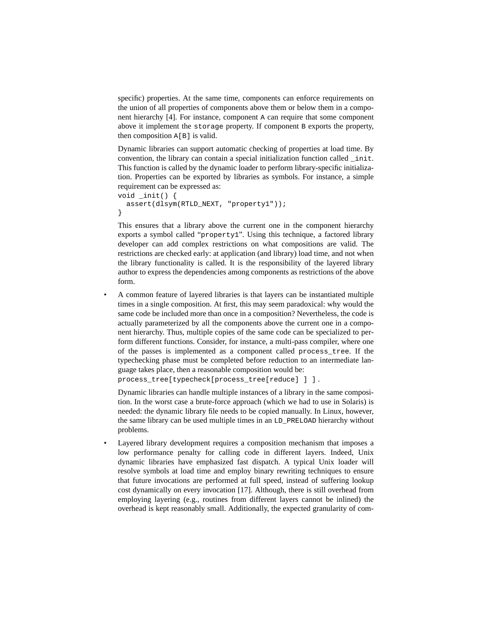specific) properties. At the same time, components can enforce requirements on the union of all properties of components above them or below them in a component hierarchy [\[4\]](#page-11-0). For instance, component A can require that some component above it implement the storage property. If component B exports the property, then composition  $A[B]$  is valid.

Dynamic libraries can support automatic checking of properties at load time. By convention, the library can contain a special initialization function called \_init. This function is called by the dynamic loader to perform library-specific initialization. Properties can be exported by libraries as symbols. For instance, a simple requirement can be expressed as:

```
void _init() {
  assert(dlsym(RTLD_NEXT, "property1"));
}
```
This ensures that a library above the current one in the component hierarchy exports a symbol called "property1". Using this technique, a factored library developer can add complex restrictions on what compositions are valid. The restrictions are checked early: at application (and library) load time, and not when the library functionality is called. It is the responsibility of the layered library author to express the dependencies among components as restrictions of the above form.

• A common feature of layered libraries is that layers can be instantiated multiple times in a single composition. At first, this may seem paradoxical: why would the same code be included more than once in a composition? Nevertheless, the code is actually parameterized by all the components above the current one in a component hierarchy. Thus, multiple copies of the same code can be specialized to perform different functions. Consider, for instance, a multi-pass compiler, where one of the passes is implemented as a component called process\_tree. If the typechecking phase must be completed before reduction to an intermediate language takes place, then a reasonable composition would be:

process\_tree[typecheck[process\_tree[reduce] ] ] .

Dynamic libraries can handle multiple instances of a library in the same composition. In the worst case a brute-force approach (which we had to use in Solaris) is needed: the dynamic library file needs to be copied manually. In Linux, however, the same library can be used multiple times in an LD\_PRELOAD hierarchy without problems.

• Layered library development requires a composition mechanism that imposes a low performance penalty for calling code in different layers. Indeed, Unix dynamic libraries have emphasized fast dispatch. A typical Unix loader will resolve symbols at load time and employ binary rewriting techniques to ensure that future invocations are performed at full speed, instead of suffering lookup cost dynamically on every invocation [\[17\]](#page-12-0). Although, there is still overhead from employing layering (e.g., routines from different layers cannot be inlined) the overhead is kept reasonably small. Additionally, the expected granularity of com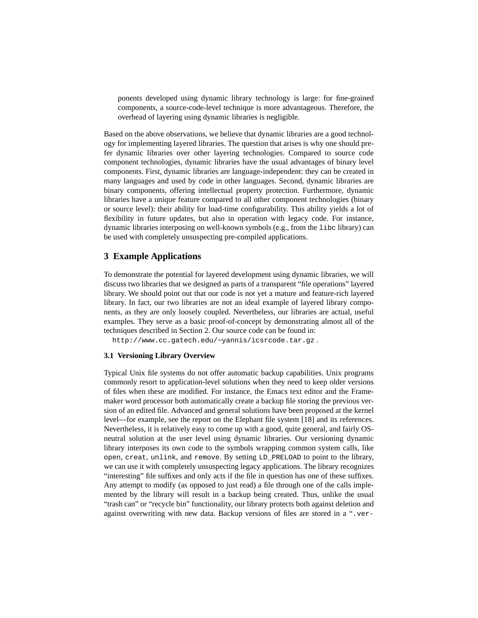<span id="page-7-0"></span>ponents developed using dynamic library technology is large: for fine-grained components, a source-code-level technique is more advantageous. Therefore, the overhead of layering using dynamic libraries is negligible.

Based on the above observations, we believe that dynamic libraries are a good technology for implementing layered libraries. The question that arises is why one should prefer dynamic libraries over other layering technologies. Compared to source code component technologies, dynamic libraries have the usual advantages of binary level components. First, dynamic libraries are language-independent: they can be created in many languages and used by code in other languages. Second, dynamic libraries are binary components, offering intellectual property protection. Furthermore, dynamic libraries have a unique feature compared to all other component technologies (binary or source level): their ability for load-time configurability. This ability yields a lot of flexibility in future updates, but also in operation with legacy code. For instance, dynamic libraries interposing on well-known symbols (e.g., from the libc library) can be used with completely unsuspecting pre-compiled applications.

## **3 Example Applications**

To demonstrate the potential for layered development using dynamic libraries, we will discuss two libraries that we designed as parts of a transparent "file operations" layered library. We should point out that our code is not yet a mature and feature-rich layered library. In fact, our two libraries are not an ideal example of layered library components, as they are only loosely coupled. Nevertheless, our libraries are actual, useful examples. They serve as a basic proof-of-concept by demonstrating almost all of the techniques described in [Section 2.](#page-2-0) Our source code can be found in:

http://www.cc.gatech.edu/~yannis/icsrcode.tar.gz .

#### **3.1 Versioning Library Overview**

Typical Unix file systems do not offer automatic backup capabilities. Unix programs commonly resort to application-level solutions when they need to keep older versions of files when these are modified. For instance, the Emacs text editor and the Framemaker word processor both automatically create a backup file storing the previous version of an edited file. Advanced and general solutions have been proposed at the kernel level—for example, see the report on the Elephant file system [[18\]](#page-12-0) and its references. Nevertheless, it is relatively easy to come up with a good, quite general, and fairly OSneutral solution at the user level using dynamic libraries. Our versioning dynamic library interposes its own code to the symbols wrapping common system calls, like open, creat, unlink, and remove. By setting LD\_PRELOAD to point to the library, we can use it with completely unsuspecting legacy applications. The library recognizes "interesting" file suffixes and only acts if the file in question has one of these suffixes. Any attempt to modify (as opposed to just read) a file through one of the calls implemented by the library will result in a backup being created. Thus, unlike the usual "trash can" or "recycle bin" functionality, our library protects both against deletion and against overwriting with new data. Backup versions of files are stored in a ".ver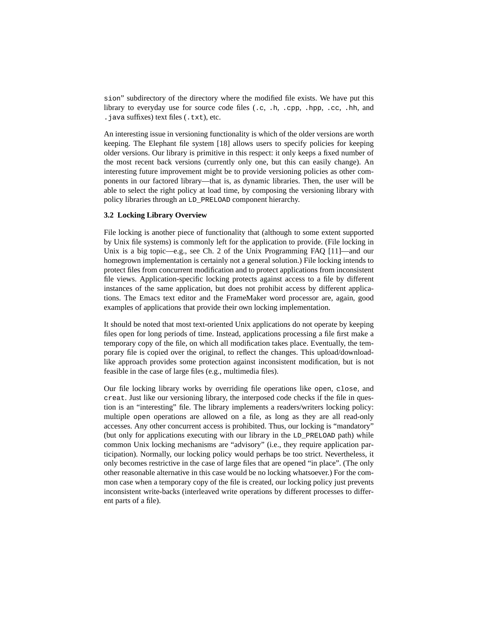sion" subdirectory of the directory where the modified file exists. We have put this library to everyday use for source code files (.c, .h, .cpp, .hpp, .cc, .hh, and .java suffixes) text files (.txt), etc.

An interesting issue in versioning functionality is which of the older versions are worth keeping. The Elephant file system [\[18\]](#page-12-0) allows users to specify policies for keeping older versions. Our library is primitive in this respect: it only keeps a fixed number of the most recent back versions (currently only one, but this can easily change). An interesting future improvement might be to provide versioning policies as other components in our factored library—that is, as dynamic libraries. Then, the user will be able to select the right policy at load time, by composing the versioning library with policy libraries through an LD\_PRELOAD component hierarchy.

#### **3.2 Locking Library Overview**

File locking is another piece of functionality that (although to some extent supported by Unix file systems) is commonly left for the application to provide. (File locking in Unix is a big topic—e.g., see Ch. 2 of the Unix Programming FAQ [\[11\]—](#page-12-0)and our homegrown implementation is certainly not a general solution.) File locking intends to protect files from concurrent modification and to protect applications from inconsistent file views. Application-specific locking protects against access to a file by different instances of the same application, but does not prohibit access by different applications. The Emacs text editor and the FrameMaker word processor are, again, good examples of applications that provide their own locking implementation.

It should be noted that most text-oriented Unix applications do not operate by keeping files open for long periods of time. Instead, applications processing a file first make a temporary copy of the file, on which all modification takes place. Eventually, the temporary file is copied over the original, to reflect the changes. This upload/downloadlike approach provides some protection against inconsistent modification, but is not feasible in the case of large files (e.g., multimedia files).

Our file locking library works by overriding file operations like open, close, and creat. Just like our versioning library, the interposed code checks if the file in question is an "interesting" file. The library implements a readers/writers locking policy: multiple open operations are allowed on a file, as long as they are all read-only accesses. Any other concurrent access is prohibited. Thus, our locking is "mandatory" (but only for applications executing with our library in the LD\_PRELOAD path) while common Unix locking mechanisms are "advisory" (i.e., they require application participation). Normally, our locking policy would perhaps be too strict. Nevertheless, it only becomes restrictive in the case of large files that are opened "in place". (The only other reasonable alternative in this case would be no locking whatsoever.) For the common case when a temporary copy of the file is created, our locking policy just prevents inconsistent write-backs (interleaved write operations by different processes to different parts of a file).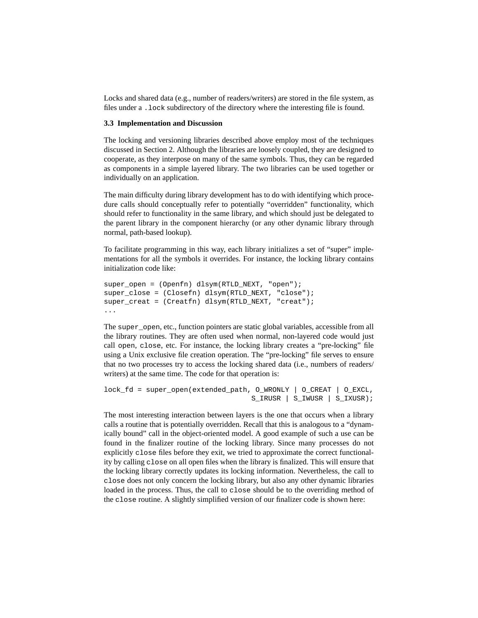Locks and shared data (e.g., number of readers/writers) are stored in the file system, as files under a .lock subdirectory of the directory where the interesting file is found.

#### **3.3 Implementation and Discussion**

The locking and versioning libraries described above employ most of the techniques discussed in [Section 2](#page-2-0). Although the libraries are loosely coupled, they are designed to cooperate, as they interpose on many of the same symbols. Thus, they can be regarded as components in a simple layered library. The two libraries can be used together or individually on an application.

The main difficulty during library development has to do with identifying which procedure calls should conceptually refer to potentially "overridden" functionality, which should refer to functionality in the same library, and which should just be delegated to the parent library in the component hierarchy (or any other dynamic library through normal, path-based lookup).

To facilitate programming in this way, each library initializes a set of "super" implementations for all the symbols it overrides. For instance, the locking library contains initialization code like:

```
super_open = (Openfn) dlsym(RTLD_NEXT, "open");
super_close = (Closefn) dlsym(RTLD_NEXT, "close");
super_creat = (Creatfn) dlsym(RTLD_NEXT, "creat");
...
```
The super\_open, etc., function pointers are static global variables, accessible from all the library routines. They are often used when normal, non-layered code would just call open, close, etc. For instance, the locking library creates a "pre-locking" file using a Unix exclusive file creation operation. The "pre-locking" file serves to ensure that no two processes try to access the locking shared data (i.e., numbers of readers/ writers) at the same time. The code for that operation is:

```
lock_fd = super_open(extended_path, O_WRONLY | O_CREAT | O_EXCL,
                                   S_IRUSR | S_IWUSR | S_IXUSR);
```
The most interesting interaction between layers is the one that occurs when a library calls a routine that is potentially overridden. Recall that this is analogous to a "dynamically bound" call in the object-oriented model. A good example of such a use can be found in the finalizer routine of the locking library. Since many processes do not explicitly close files before they exit, we tried to approximate the correct functionality by calling close on all open files when the library is finalized. This will ensure that the locking library correctly updates its locking information. Nevertheless, the call to close does not only concern the locking library, but also any other dynamic libraries loaded in the process. Thus, the call to close should be to the overriding method of the close routine. A slightly simplified version of our finalizer code is shown here: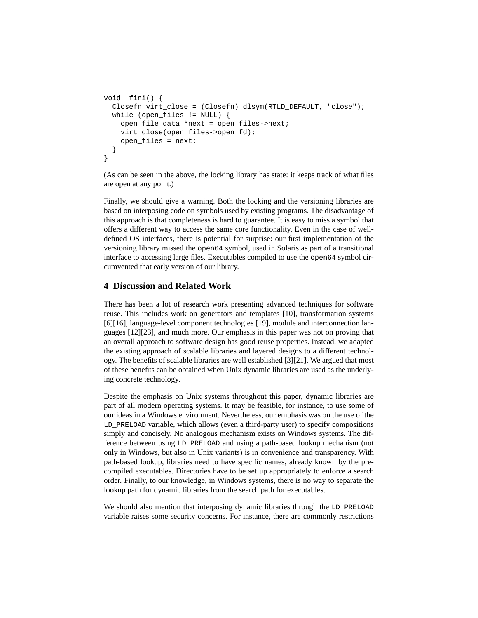```
void _fini() {
 Closefn virt_close = (Closefn) dlsym(RTLD_DEFAULT, "close");
 while (open_files != NULL) {
    open_file_data *next = open_files->next;
    virt_close(open_files->open_fd);
   open_files = next;
 }
}
```
(As can be seen in the above, the locking library has state: it keeps track of what files are open at any point.)

Finally, we should give a warning. Both the locking and the versioning libraries are based on interposing code on symbols used by existing programs. The disadvantage of this approach is that completeness is hard to guarantee. It is easy to miss a symbol that offers a different way to access the same core functionality. Even in the case of welldefined OS interfaces, there is potential for surprise: our first implementation of the versioning library missed the open64 symbol, used in Solaris as part of a transitional interface to accessing large files. Executables compiled to use the open64 symbol circumvented that early version of our library.

## **4 Discussion and Related Work**

There has been a lot of research work presenting advanced techniques for software reuse. This includes work on generators and templates [\[10\]](#page-12-0), transformation systems [\[6\]\[16\]](#page-12-0), language-level component technologies [\[19\]](#page-12-0), module and interconnection languages [\[12\]\[23\]](#page-12-0), and much more. Our emphasis in this paper was not on proving that an overall approach to software design has good reuse properties. Instead, we adapted the existing approach of scalable libraries and layered designs to a different technology. The benefits of scalable libraries are well established [\[3\]](#page-11-0)[\[21\]](#page-12-0). We argued that most of these benefits can be obtained when Unix dynamic libraries are used as the underlying concrete technology.

Despite the emphasis on Unix systems throughout this paper, dynamic libraries are part of all modern operating systems. It may be feasible, for instance, to use some of our ideas in a Windows environment. Nevertheless, our emphasis was on the use of the LD PRELOAD variable, which allows (even a third-party user) to specify compositions simply and concisely. No analogous mechanism exists on Windows systems. The difference between using LD\_PRELOAD and using a path-based lookup mechanism (not only in Windows, but also in Unix variants) is in convenience and transparency. With path-based lookup, libraries need to have specific names, already known by the precompiled executables. Directories have to be set up appropriately to enforce a search order. Finally, to our knowledge, in Windows systems, there is no way to separate the lookup path for dynamic libraries from the search path for executables.

We should also mention that interposing dynamic libraries through the LD\_PRELOAD variable raises some security concerns. For instance, there are commonly restrictions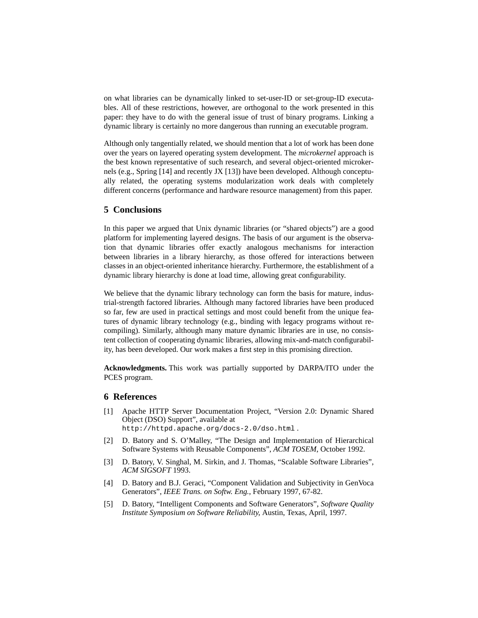<span id="page-11-0"></span>on what libraries can be dynamically linked to set-user-ID or set-group-ID executables. All of these restrictions, however, are orthogonal to the work presented in this paper: they have to do with the general issue of trust of binary programs. Linking a dynamic library is certainly no more dangerous than running an executable program.

Although only tangentially related, we should mention that a lot of work has been done over the years on layered operating system development. The *microkernel* approach is the best known representative of such research, and several object-oriented microkernels (e.g., Spring [\[14\]](#page-12-0) and recently JX [\[13\]](#page-12-0)) have been developed. Although conceptually related, the operating systems modularization work deals with completely different concerns (performance and hardware resource management) from this paper.

## **5 Conclusions**

In this paper we argued that Unix dynamic libraries (or "shared objects") are a good platform for implementing layered designs. The basis of our argument is the observation that dynamic libraries offer exactly analogous mechanisms for interaction between libraries in a library hierarchy, as those offered for interactions between classes in an object-oriented inheritance hierarchy. Furthermore, the establishment of a dynamic library hierarchy is done at load time, allowing great configurability.

We believe that the dynamic library technology can form the basis for mature, industrial-strength factored libraries. Although many factored libraries have been produced so far, few are used in practical settings and most could benefit from the unique features of dynamic library technology (e.g., binding with legacy programs without recompiling). Similarly, although many mature dynamic libraries are in use, no consistent collection of cooperating dynamic libraries, allowing mix-and-match configurability, has been developed. Our work makes a first step in this promising direction.

**Acknowledgments.** This work was partially supported by DARPA/ITO under the PCES program.

## **6 References**

- [1] Apache HTTP Server Documentation Project, "Version 2.0: Dynamic Shared Object (DSO) Support", available at http://httpd.apache.org/docs-2.0/dso.html .
- [2] D. Batory and S. O'Malley, "The Design and Implementation of Hierarchical Software Systems with Reusable Components", *ACM TOSEM*, October 1992.
- [3] D. Batory, V. Singhal, M. Sirkin, and J. Thomas, "Scalable Software Libraries", *ACM SIGSOFT* 1993.
- [4] D. Batory and B.J. Geraci, "Component Validation and Subjectivity in GenVoca Generators", *IEEE Trans. on Softw. Eng.*, February 1997, 67-82.
- [5] D. Batory, "Intelligent Components and Software Generators", *Software Quality Institute Symposium on Software Reliability*, Austin, Texas, April, 1997.